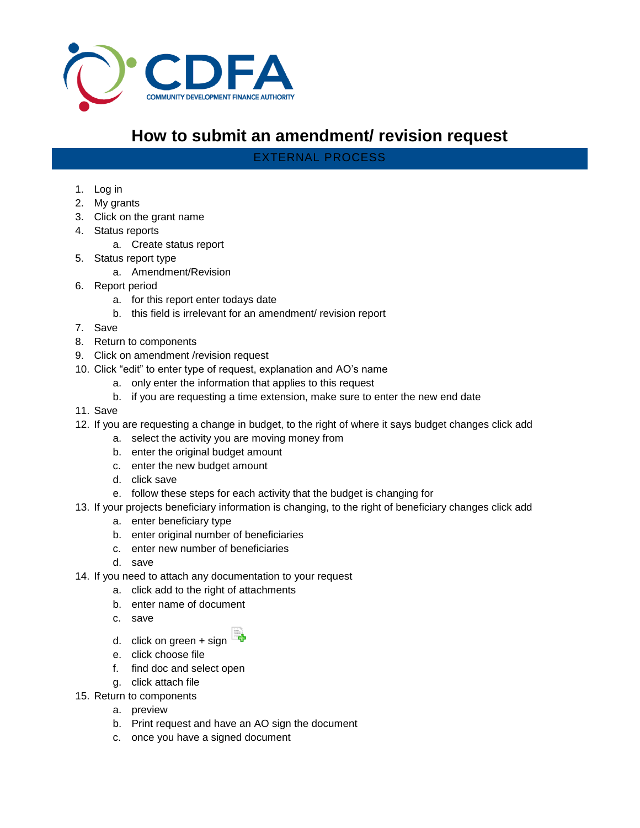

## **How to submit an amendment/ revision request**

EXTERNAL PROCESS

## 1. Log in

- 2. My grants
- 3. Click on the grant name
- 4. Status reports
	- a. Create status report
- 5. Status report type
	- a. Amendment/Revision
- 6. Report period
	- a. for this report enter todays date
	- b. this field is irrelevant for an amendment/ revision report
- 7. Save
- 8. Return to components
- 9. Click on amendment /revision request
- 10. Click "edit" to enter type of request, explanation and AO's name
	- a. only enter the information that applies to this request
	- b. if you are requesting a time extension, make sure to enter the new end date
- 11. Save
- 12. If you are requesting a change in budget, to the right of where it says budget changes click add
	- a. select the activity you are moving money from
	- b. enter the original budget amount
	- c. enter the new budget amount
	- d. click save
	- e. follow these steps for each activity that the budget is changing for
- 13. If your projects beneficiary information is changing, to the right of beneficiary changes click add
	- a. enter beneficiary type
	- b. enter original number of beneficiaries
	- c. enter new number of beneficiaries
	- d. save
- 14. If you need to attach any documentation to your request
	- a. click add to the right of attachments
	- b. enter name of document
	- c. save



- d. click on green + sign
- e. click choose file
- f. find doc and select open
- g. click attach file
- 15. Return to components
	- a. preview
	- b. Print request and have an AO sign the document
	- c. once you have a signed document